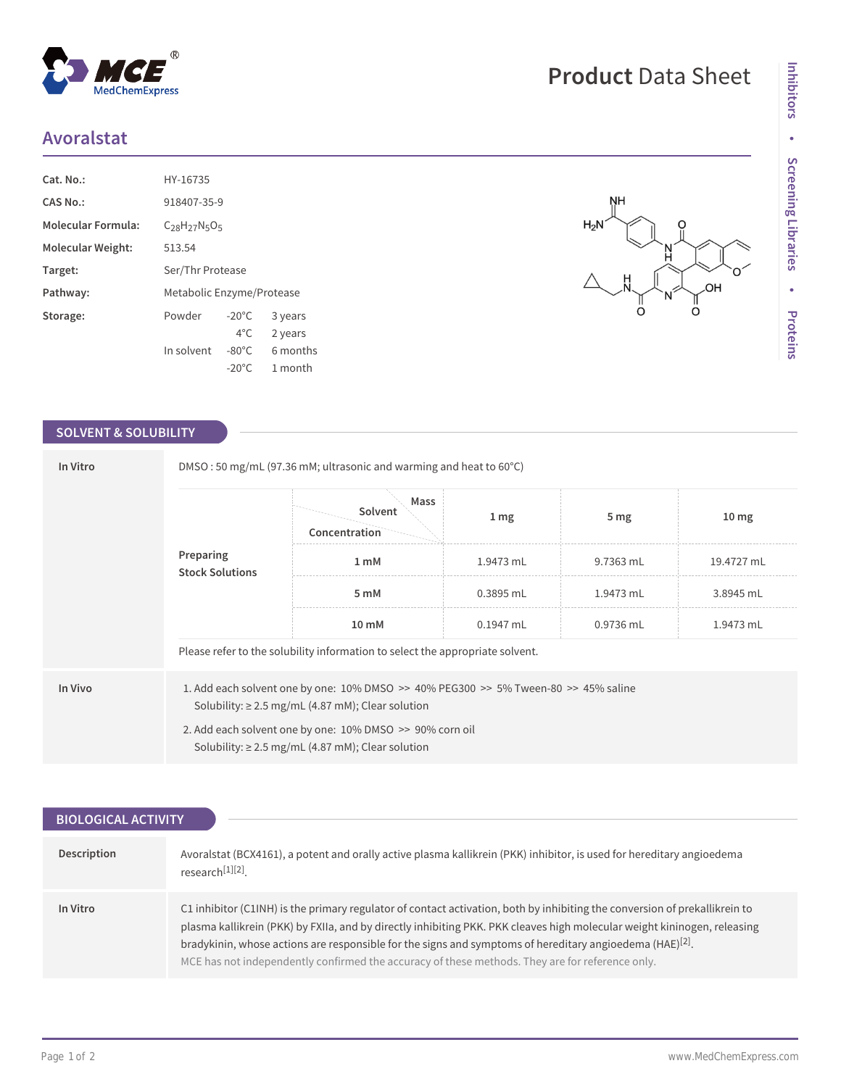## **Avoralstat**

| $Cat. No.$ :              | HY-16735                  |                 |          |  |
|---------------------------|---------------------------|-----------------|----------|--|
| CAS No.:                  | 918407-35-9               |                 |          |  |
| <b>Molecular Formula:</b> | $C_{28}H_{27}N_5O_5$      |                 |          |  |
| Molecular Weight:         | 513.54                    |                 |          |  |
| Target:                   | Ser/Thr Protease          |                 |          |  |
| Pathway:                  | Metabolic Enzyme/Protease |                 |          |  |
| Storage:                  | Powder                    | $-20^{\circ}$ C | 3 years  |  |
|                           |                           | $4^{\circ}$ C   | 2 years  |  |
|                           | In solvent                | $-80^{\circ}$ C | 6 months |  |
|                           |                           | $-20^{\circ}$ C | 1 month  |  |

 $^{\circledR}$ 

MedChemExpress

## **SOLVENT & SOLUBILITY**

| In Vitro | DMSO: 50 mg/mL (97.36 mM; ultrasonic and warming and heat to 60°C)                                                 |                                                                                                                                               |             |                 |                  |  |  |
|----------|--------------------------------------------------------------------------------------------------------------------|-----------------------------------------------------------------------------------------------------------------------------------------------|-------------|-----------------|------------------|--|--|
|          | Preparing<br><b>Stock Solutions</b>                                                                                | Mass<br>Solvent<br>Concentration                                                                                                              | 1 mg        | 5 <sub>mg</sub> | 10 <sub>mg</sub> |  |  |
|          |                                                                                                                    | 1 <sub>m</sub> M                                                                                                                              | 1.9473 mL   | 9.7363 mL       | 19.4727 mL       |  |  |
|          |                                                                                                                    | 5 mM                                                                                                                                          | $0.3895$ mL | 1.9473 mL       | 3.8945 mL        |  |  |
|          |                                                                                                                    | 10 mM                                                                                                                                         | 0.1947 mL   | 0.9736 mL       | 1.9473 mL        |  |  |
|          | Please refer to the solubility information to select the appropriate solvent.                                      |                                                                                                                                               |             |                 |                  |  |  |
| In Vivo  |                                                                                                                    | 1. Add each solvent one by one: 10% DMSO >> 40% PEG300 >> 5% Tween-80 >> 45% saline<br>Solubility: $\geq$ 2.5 mg/mL (4.87 mM); Clear solution |             |                 |                  |  |  |
|          | 2. Add each solvent one by one: 10% DMSO >> 90% corn oil<br>Solubility: $\geq$ 2.5 mg/mL (4.87 mM); Clear solution |                                                                                                                                               |             |                 |                  |  |  |

| <b>BIOLOGICAL ACTIVITY</b> |                                                                                                                                                                                                                                                                                                                                                                                                                                                                          |  |  |  |  |
|----------------------------|--------------------------------------------------------------------------------------------------------------------------------------------------------------------------------------------------------------------------------------------------------------------------------------------------------------------------------------------------------------------------------------------------------------------------------------------------------------------------|--|--|--|--|
|                            |                                                                                                                                                                                                                                                                                                                                                                                                                                                                          |  |  |  |  |
| Description                | Avoralstat (BCX4161), a potent and orally active plasma kallikrein (PKK) inhibitor, is used for hereditary angioedema<br>research <sup>[1][2]</sup> .                                                                                                                                                                                                                                                                                                                    |  |  |  |  |
| In Vitro                   | C1 inhibitor (C1INH) is the primary regulator of contact activation, both by inhibiting the conversion of prekallikrein to<br>plasma kallikrein (PKK) by FXIIa, and by directly inhibiting PKK. PKK cleaves high molecular weight kininogen, releasing<br>bradykinin, whose actions are responsible for the signs and symptoms of hereditary angioedema (HAE) $[2]$ .<br>MCE has not independently confirmed the accuracy of these methods. They are for reference only. |  |  |  |  |

**Product** Data Sheet

O

.OH ∏<br>O

'N<br>H

 $\Omega$ 

**NH** 

 $H_2N$